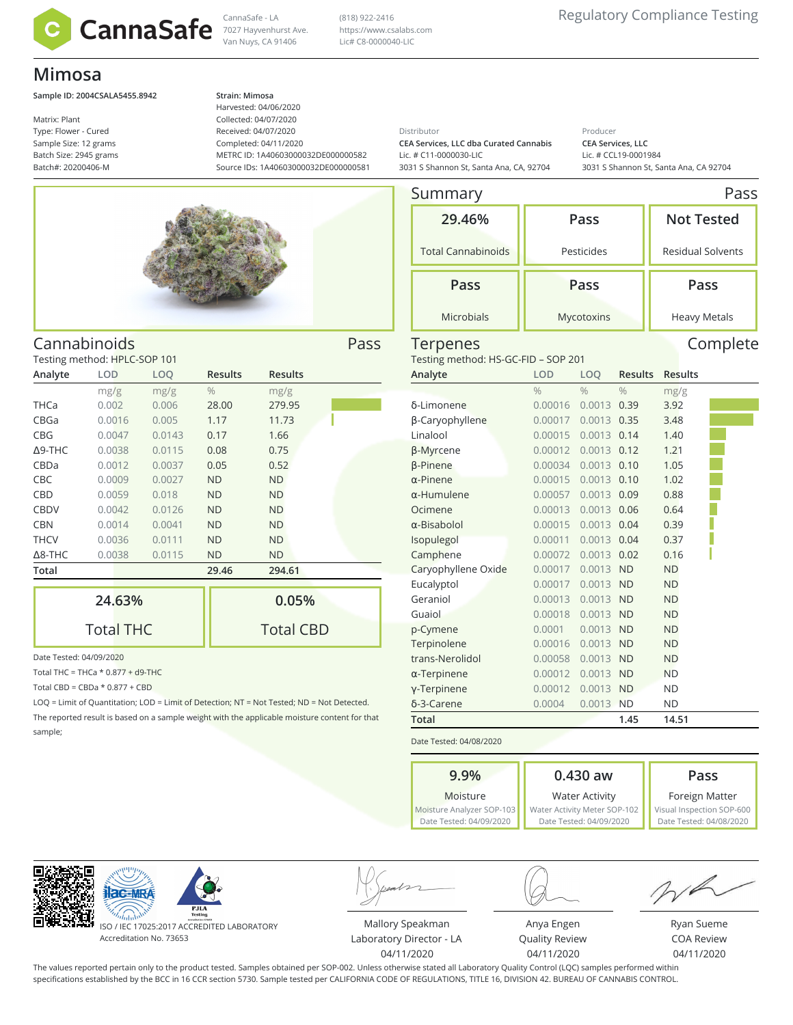

Van Nuys, CA 91406

(818) 922-2416 https://www.csalabs.com Lic# C8-0000040-LIC

# **Mimosa**

### **Sample ID: 2004CSALA5455.8942 Strain: Mimosa**

Matrix: Plant Type: Flower - Cured Sample Size: 12 grams Batch Size: 2945 grams Batch#: 20200406-M

Harvested: 04/06/2020 Collected: 04/07/2020 Received: 04/07/2020 Completed: 04/11/2020 METRC ID: 1A40603000032DE000000582 Source IDs: 1A40603000032DE000000581

Total CBD

Distributor

**CEA Services, LLC dba Curated Cannabis** Lic. # C11-0000030-LIC 3031 S Shannon St, Santa Ana, CA, 92704 Producer **CEA Services, LLC** Lic. # CCL19-0001984 3031 S Shannon St, Santa Ana, CA 92704



| Cannabinoids                 |        |        |                |                |  |  |  |
|------------------------------|--------|--------|----------------|----------------|--|--|--|
| Testing method: HPLC-SOP 101 |        |        |                |                |  |  |  |
| Analyte                      | LOD    | LOQ    | <b>Results</b> | <b>Results</b> |  |  |  |
|                              | mg/g   | mg/g   | $\frac{0}{0}$  | mg/g           |  |  |  |
| THCa                         | 0.002  | 0.006  | 28.00          | 279.95         |  |  |  |
| CBGa                         | 0.0016 | 0.005  | 1.17           | 11.73          |  |  |  |
| <b>CBG</b>                   | 0.0047 | 0.0143 | 0.17           | 1.66           |  |  |  |
| $\Delta$ 9-THC               | 0.0038 | 0.0115 | 0.08           | 0.75           |  |  |  |
| CBDa                         | 0.0012 | 0.0037 | 0.05           | 0.52           |  |  |  |
| <b>CBC</b>                   | 0.0009 | 0.0027 | <b>ND</b>      | <b>ND</b>      |  |  |  |
| CBD                          | 0.0059 | 0.018  | <b>ND</b>      | <b>ND</b>      |  |  |  |
| <b>CBDV</b>                  | 0.0042 | 0.0126 | <b>ND</b>      | <b>ND</b>      |  |  |  |
| <b>CBN</b>                   | 0.0014 | 0.0041 | <b>ND</b>      | <b>ND</b>      |  |  |  |
| <b>THCV</b>                  | 0.0036 | 0.0111 | <b>ND</b>      | <b>ND</b>      |  |  |  |
| $\Delta$ 8-THC               | 0.0038 | 0.0115 | ND             | <b>ND</b>      |  |  |  |
| Total                        |        |        | 29.46          | 294.61         |  |  |  |
|                              | 24.63% |        |                | 0.05%          |  |  |  |

|  | Date Tested: 04/09/2020 |  |
|--|-------------------------|--|

Total THC = THCa  $*$  0.877 + d9-THC

Total THC

Total CBD =  $CBDa * 0.877 + CBD$ 

LOQ = Limit of Quantitation; LOD = Limit of Detection; NT = Not Tested; ND = Not Detected. The reported result is based on a sample weight with the applicable moisture content for that sample;

| Summary                             |               |               |                |                   | Pass                     |  |  |
|-------------------------------------|---------------|---------------|----------------|-------------------|--------------------------|--|--|
| 29.46%                              |               | Pass          |                | <b>Not Tested</b> |                          |  |  |
| <b>Total Cannabinoids</b>           |               | Pesticides    |                |                   | <b>Residual Solvents</b> |  |  |
| Pass                                |               | Pass          |                |                   | Pass                     |  |  |
| <b>Microbials</b>                   |               | Mycotoxins    |                |                   | <b>Heavy Metals</b>      |  |  |
| Terpenes                            |               |               |                |                   | Complete                 |  |  |
| Testing method: HS-GC-FID - SOP 201 |               |               |                |                   |                          |  |  |
| Analyte                             | LOD           | LOO           | <b>Results</b> | <b>Results</b>    |                          |  |  |
|                                     | $\frac{0}{0}$ | $\frac{0}{0}$ | $\frac{0}{0}$  | mg/g              |                          |  |  |
| δ-Limonene                          | 0.00016       | 0.0013        | 0.39           | 3.92              |                          |  |  |
| β-Caryophyllene                     | 0.00017       | 0.0013        | 0.35           | 3.48              |                          |  |  |
| Linalool                            | 0.00015       | 0.0013        | 0.14           | 1.40              |                          |  |  |
| <b><i>B-Myrcene</i></b>             | 0.00012       | $0.0013$ 0.12 |                | 1.21              |                          |  |  |
| <b><i>β-Pinene</i></b>              | 0.00034       | $0.0013$ 0.10 |                | 1.05              |                          |  |  |
| $\alpha$ -Pinene                    | 0.00015       | 0.0013        | 0.10           | 1.02              |                          |  |  |
| $\alpha$ -Humulene                  | 0.00057       | 0.0013        | 0.09           | 0.88              |                          |  |  |
| Ocimene                             | 0.00013       | 0.0013        | 0.06           | 0.64              |                          |  |  |
| $\alpha$ -Bisabolol                 | 0.00015       | $0.0013$ 0.04 |                | 0.39              |                          |  |  |
| Isopulegol                          | 0.00011       | 0.0013        | 0.04           | 0.37              |                          |  |  |
| Camphene                            | 0.00072       | 0.0013        | 0.02           | 0.16              |                          |  |  |
| Caryophyllene Oxide                 | 0.00017       | 0.0013        | <b>ND</b>      | <b>ND</b>         |                          |  |  |
| Eucalyptol                          | 0.00017       | 0.0013        | <b>ND</b>      | <b>ND</b>         |                          |  |  |
| Geraniol                            | 0.00013       | 0.0013 ND     |                | <b>ND</b>         |                          |  |  |
| Guaiol                              | 0.00018       | 0.0013 ND     |                | <b>ND</b>         |                          |  |  |
| p-Cymene                            | 0.0001        | 0.0013        | <b>ND</b>      | <b>ND</b>         |                          |  |  |
| Terpinolene                         | 0.00016       | 0.0013        | <b>ND</b>      | <b>ND</b>         |                          |  |  |
| trans-Nerolidol                     | 0.00058       | 0.0013        | <b>ND</b>      | <b>ND</b>         |                          |  |  |
| $\alpha$ -Terpinene                 | 0.00012       | 0.0013        | <b>ND</b>      | <b>ND</b>         |                          |  |  |
| y-Terpinene                         | 0.00012       | 0.0013        | <b>ND</b>      | <b>ND</b>         |                          |  |  |

Date Tested: 04/08/2020

**9.9%** Moisture Moisture Analyzer SOP-103 Date Tested: 04/09/2020 **0.430 aw** Water Activity Water Activity Meter SOP-102 Date Tested: 04/09/2020 **Pass** Foreign Matter Visual Inspection SOP-600 Date Tested: 04/08/2020





ISO / IEC 17025:2017 ACCREDITED LABORATORY Accreditation No. 73653

Mallory Speakman Laboratory Director - LA 04/11/2020



Anya Engen Quality Review 04/11/2020

Ryan Sueme COA Review 04/11/2020

The values reported pertain only to the product tested. Samples obtained per SOP-002. Unless otherwise stated all Laboratory Quality Control (LQC) samples performed within specifications established by the BCC in 16 CCR section 5730. Sample tested per CALIFORNIA CODE OF REGULATIONS, TITLE 16, DIVISION 42. BUREAU OF CANNABIS CONTROL.

δ-3-Carene 0.0004 0.0013 ND ND **Total 1.45 14.51**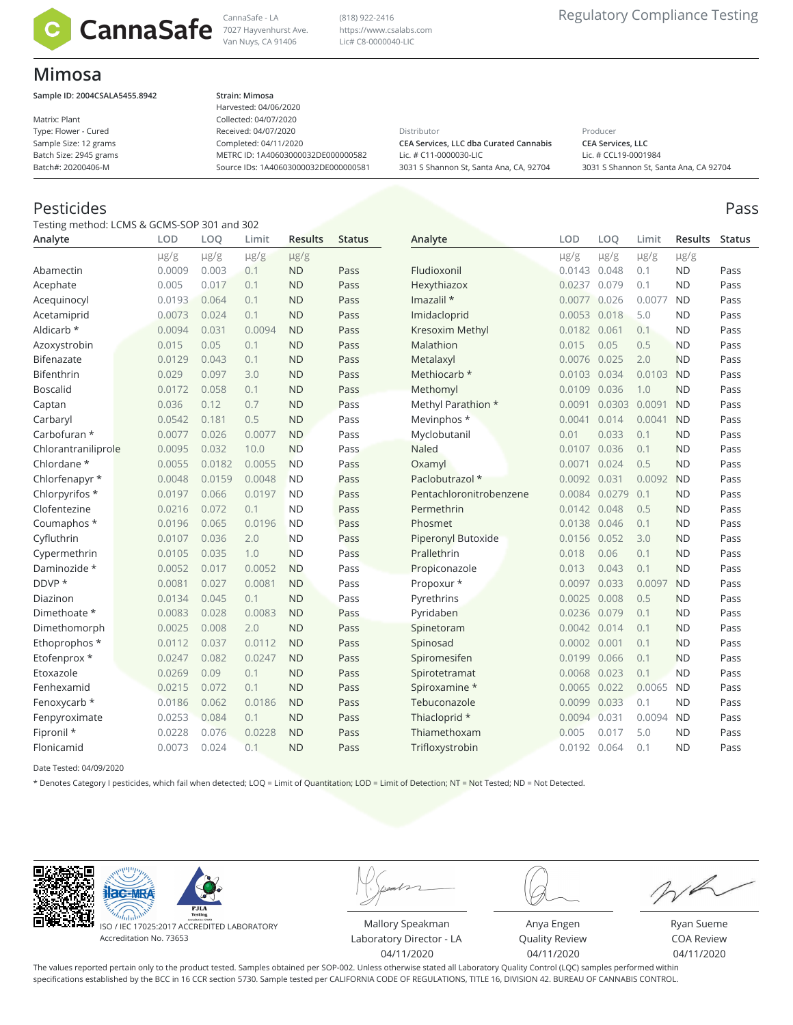

Van Nuys, CA 91406

(818) 922-2416 https://www.csalabs.com Lic# C8-0000040-LIC

## **Mimosa**

**Sample ID: 2004CSALA5455.8942 Strain: Mimosa**

Matrix: Plant Type: Flower - Cured Sample Size: 12 grams Batch Size: 2945 grams Batch#: 20200406-M

Harvested: 04/06/2020 Collected: 04/07/2020 Received: 04/07/2020 Completed: 04/11/2020 METRC ID: 1A40603000032DE000000582 Source IDs: 1A40603000032DE000000581

Distributor **CEA Services, LLC dba Curated Cannabis**

Lic. # C11-0000030-LIC 3031 S Shannon St, Santa Ana, CA, 92704 Producer **CEA Services, LLC** Lic. # CCL19-0001984 3031 S Shannon St, Santa Ana, CA 92704

## Pesticides Pass

Testing method: LCMS & GCMS-SOP 301 and 302

| Analyte             | <b>LOD</b> | LOQ       | Limit     | <b>Results</b> | <b>Status</b> | Analyte                 | LOD          | LOO           | Limit     | Results   | Status |
|---------------------|------------|-----------|-----------|----------------|---------------|-------------------------|--------------|---------------|-----------|-----------|--------|
|                     | $\mu$ g/g  | $\mu$ g/g | $\mu$ g/g | $\mu$ g/g      |               |                         | $\mu$ g/g    | $\mu$ g/g     | $\mu$ g/g | $\mu$ g/g |        |
| Abamectin           | 0.0009     | 0.003     | 0.1       | <b>ND</b>      | Pass          | Fludioxonil             | 0.0143 0.048 |               | 0.1       | <b>ND</b> | Pass   |
| Acephate            | 0.005      | 0.017     | 0.1       | <b>ND</b>      | Pass          | Hexythiazox             | 0.0237       | 0.079         | 0.1       | <b>ND</b> | Pass   |
| Acequinocyl         | 0.0193     | 0.064     | 0.1       | <b>ND</b>      | Pass          | Imazalil $*$            | 0.0077       | 0.026         | 0.0077    | <b>ND</b> | Pass   |
| Acetamiprid         | 0.0073     | 0.024     | 0.1       | <b>ND</b>      | Pass          | Imidacloprid            | 0.0053       | 0.018         | 5.0       | <b>ND</b> | Pass   |
| Aldicarb *          | 0.0094     | 0.031     | 0.0094    | <b>ND</b>      | Pass          | Kresoxim Methyl         | 0.0182 0.061 |               | 0.1       | <b>ND</b> | Pass   |
| Azoxystrobin        | 0.015      | 0.05      | 0.1       | <b>ND</b>      | Pass          | Malathion               | 0.015        | 0.05          | 0.5       | <b>ND</b> | Pass   |
| Bifenazate          | 0.0129     | 0.043     | 0.1       | <b>ND</b>      | Pass          | Metalaxyl               | 0.0076       | 0.025         | 2.0       | <b>ND</b> | Pass   |
| Bifenthrin          | 0.029      | 0.097     | 3.0       | <b>ND</b>      | Pass          | Methiocarb *            | 0.0103 0.034 |               | 0.0103    | <b>ND</b> | Pass   |
| <b>Boscalid</b>     | 0.0172     | 0.058     | 0.1       | <b>ND</b>      | Pass          | Methomyl                | 0.0109       | 0.036         | 1.0       | <b>ND</b> | Pass   |
| Captan              | 0.036      | 0.12      | 0.7       | <b>ND</b>      | Pass          | Methyl Parathion *      | 0.0091       | 0.0303        | 0.0091    | <b>ND</b> | Pass   |
| Carbaryl            | 0.0542     | 0.181     | 0.5       | <b>ND</b>      | Pass          | Mevinphos *             | 0.0041       | 0.014         | 0.0041    | <b>ND</b> | Pass   |
| Carbofuran *        | 0.0077     | 0.026     | 0.0077    | <b>ND</b>      | Pass          | Myclobutanil            | 0.01         | 0.033         | 0.1       | <b>ND</b> | Pass   |
| Chlorantraniliprole | 0.0095     | 0.032     | 10.0      | <b>ND</b>      | Pass          | Naled                   | 0.0107       | 0.036         | 0.1       | <b>ND</b> | Pass   |
| Chlordane *         | 0.0055     | 0.0182    | 0.0055    | <b>ND</b>      | Pass          | Oxamyl                  | 0.0071       | 0.024         | 0.5       | <b>ND</b> | Pass   |
| Chlorfenapyr *      | 0.0048     | 0.0159    | 0.0048    | <b>ND</b>      | Pass          | Paclobutrazol *         | 0.0092       | 0.031         | 0.0092    | <b>ND</b> | Pass   |
| Chlorpyrifos *      | 0.0197     | 0.066     | 0.0197    | <b>ND</b>      | Pass          | Pentachloronitrobenzene |              | 0.0084 0.0279 | 0.1       | <b>ND</b> | Pass   |
| Clofentezine        | 0.0216     | 0.072     | 0.1       | <b>ND</b>      | Pass          | Permethrin              | 0.0142 0.048 |               | 0.5       | <b>ND</b> | Pass   |
| Coumaphos *         | 0.0196     | 0.065     | 0.0196    | <b>ND</b>      | Pass          | Phosmet                 | 0.0138       | 0.046         | 0.1       | <b>ND</b> | Pass   |
| Cyfluthrin          | 0.0107     | 0.036     | 2.0       | <b>ND</b>      | Pass          | Piperonyl Butoxide      | 0.0156       | 0.052         | 3.0       | <b>ND</b> | Pass   |
| Cypermethrin        | 0.0105     | 0.035     | 1.0       | <b>ND</b>      | Pass          | Prallethrin             | 0.018        | 0.06          | 0.1       | <b>ND</b> | Pass   |
| Daminozide *        | 0.0052     | 0.017     | 0.0052    | <b>ND</b>      | Pass          | Propiconazole           | 0.013        | 0.043         | 0.1       | <b>ND</b> | Pass   |
| DDVP *              | 0.0081     | 0.027     | 0.0081    | <b>ND</b>      | Pass          | Propoxur *              | 0.0097       | 0.033         | 0.0097    | <b>ND</b> | Pass   |
| Diazinon            | 0.0134     | 0.045     | 0.1       | <b>ND</b>      | Pass          | Pyrethrins              | 0.0025       | 0.008         | 0.5       | <b>ND</b> | Pass   |
| Dimethoate *        | 0.0083     | 0.028     | 0.0083    | <b>ND</b>      | Pass          | Pyridaben               | 0.0236 0.079 |               | 0.1       | <b>ND</b> | Pass   |
| Dimethomorph        | 0.0025     | 0.008     | 2.0       | <b>ND</b>      | Pass          | Spinetoram              | 0.0042 0.014 |               | 0.1       | <b>ND</b> | Pass   |
| Ethoprophos *       | 0.0112     | 0.037     | 0.0112    | <b>ND</b>      | Pass          | Spinosad                | 0.0002       | 0.001         | 0.1       | <b>ND</b> | Pass   |
| Etofenprox *        | 0.0247     | 0.082     | 0.0247    | <b>ND</b>      | Pass          | Spiromesifen            | 0.0199       | 0.066         | 0.1       | <b>ND</b> | Pass   |
| Etoxazole           | 0.0269     | 0.09      | 0.1       | <b>ND</b>      | Pass          | Spirotetramat           | 0.0068       | 0.023         | 0.1       | <b>ND</b> | Pass   |
| Fenhexamid          | 0.0215     | 0.072     | 0.1       | <b>ND</b>      | Pass          | Spiroxamine *           | 0.0065       | 0.022         | 0.0065    | <b>ND</b> | Pass   |
| Fenoxycarb *        | 0.0186     | 0.062     | 0.0186    | <b>ND</b>      | Pass          | Tebuconazole            | 0.0099       | 0.033         | 0.1       | <b>ND</b> | Pass   |
| Fenpyroximate       | 0.0253     | 0.084     | 0.1       | <b>ND</b>      | Pass          | Thiacloprid *           | 0.0094 0.031 |               | 0.0094    | <b>ND</b> | Pass   |
| Fipronil *          | 0.0228     | 0.076     | 0.0228    | <b>ND</b>      | Pass          | Thiamethoxam            | 0.005        | 0.017         | 5.0       | <b>ND</b> | Pass   |
| Flonicamid          | 0.0073     | 0.024     | 0.1       | <b>ND</b>      | Pass          | Trifloxystrobin         | 0.0192 0.064 |               | 0.1       | <b>ND</b> | Pass   |

Date Tested: 04/09/2020

\* Denotes Category I pesticides, which fail when detected; LOQ = Limit of Quantitation; LOD = Limit of Detection; NT = Not Tested; ND = Not Detected.





ISO / IEC 17025:2017 ACCREDITED LABORATORY Accreditation No. 73653

Mallory Speakman Laboratory Director - LA 04/11/2020

Quality Review 04/11/2020

Anya Engen

 $\mathbb{Z}$ 

Ryan Sueme COA Review 04/11/2020

The values reported pertain only to the product tested. Samples obtained per SOP-002. Unless otherwise stated all Laboratory Quality Control (LQC) samples performed within specifications established by the BCC in 16 CCR section 5730. Sample tested per CALIFORNIA CODE OF REGULATIONS, TITLE 16, DIVISION 42. BUREAU OF CANNABIS CONTROL.